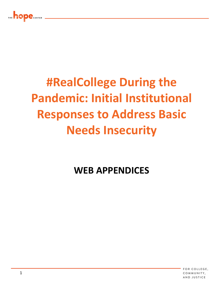

# **#RealCollege During the Pandemic: Initial Institutional Responses to Address Basic Needs Insecurity**

## **WEB APPENDICES**

FOR COLLEGE. COMMUNITY. AND JUSTICE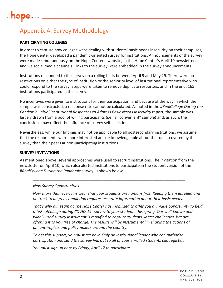

### Appendix A. Survey Methodology

#### **PARTICIPATING COLLEGES**

In order to capture how colleges were dealing with students' basic needs insecurity on their campuses, the Hope Center developed a pandemic-oriented survey for institutions. Announcements of the survey were made simultaneously on the Hope Center's website, in the Hope Center's April 10 newsletter, and via social media channels. Links to the survey were embedded in the survey announcements.

Institutions responded to the survey on a rolling basis between April 9 and May 29. There were no restrictions on either the type of institution or the seniority level of institutional representative who could respond to the survey. Steps were taken to remove duplicate responses, and in the end, 165 institutions participated in the survey.

No incentives were given to institutions for their participation; and because of the way in which the sample was constructed, a response rate cannot be calculated. As noted in the *#RealCollege During the Pandemic: Initial Institutional Responses to Address Basic Needs Insecurity* report, the sample was largely drawn from a pool of willing participants (i.e., a "convenient" sample) and, as such, the conclusions may reflect the influence of survey self-selection.

Nevertheless, while our findings may not be applicable to all postsecondary institutions, we assume that the respondents were more interested and/or knowledgeable about the topics covered by the survey than their peers at non-participating institutions.

#### **SURVEY INVITATIONS**

As mentioned above, several approaches were used to recruit institutions. The invitation from the newsletter on April 10, which also alerted institutions to participate in the student version of the #*RealCollege During the Pandemic* survey, is shown below.

\_\_\_\_\_\_\_\_\_\_\_\_\_\_\_\_\_\_\_\_\_\_\_\_\_\_\_\_\_\_\_\_\_\_\_\_\_\_\_\_\_\_\_\_\_\_\_\_\_\_\_\_\_\_\_\_\_\_\_\_\_\_\_\_\_\_\_\_\_\_

#### *New Survey Opportunities!*

*Now more than ever, it is clear that your students are humans first. Keeping them enrolled and on track to degree completion requires accurate information about their basic needs.*

*That's why our team at The Hope Center has mobilized to offer you a unique opportunity to field a "#RealCollege during COVID-19" survey to your students this spring. Our well-known and widely used survey instrument is modified to capture students' latest challenges. We are offering it to you free of charge. The results will be instrumental in shaping the actions of philanthropists and policymakers around the country.*

*To get this support, you must act now. Only an institutional leader who can authorize participation and send the survey link out to all of your enrolled students can register.*

*You must sign up here by Friday, April 17 to participate.*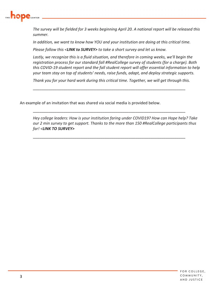

*The survey will be fielded for 3 weeks beginning April 20. A national report will be released this summer.*

*In addition, we want to know how YOU and your institution are doing at this critical time.*

*Please follow this <LINK to SURVEY> to take a short survey and let us know.*

*Lastly, we recognize this is a fluid situation, and therefore in coming weeks, we'll begin the registration process for our standard fall #RealCollege survey of students (for a charge). Both this COVID-19 student report and the fall student report will offer essential information to help your team stay on top of students' needs, raise funds, adapt, and deploy strategic supports.*

*Thank you for your hard work during this critical time. Together, we will get through this.*

\_\_\_\_\_\_\_\_\_\_\_\_\_\_\_\_\_\_\_\_\_\_\_\_\_\_\_\_\_\_\_\_\_\_\_\_\_\_\_\_\_\_\_\_\_\_\_\_\_\_\_\_\_\_\_\_\_\_\_\_\_\_\_\_\_\_\_\_\_\_

\_\_\_\_\_\_\_\_\_\_\_\_\_\_\_\_\_\_\_\_\_\_\_\_\_\_\_\_\_\_\_\_\_\_\_\_\_\_\_\_\_\_\_\_\_\_\_\_\_\_\_\_\_\_\_\_\_\_\_\_\_\_\_\_\_\_\_\_\_\_

\_\_\_\_\_\_\_\_\_\_\_\_\_\_\_\_\_\_\_\_\_\_\_\_\_\_\_\_\_\_\_\_\_\_\_\_\_\_\_\_\_\_\_\_\_\_\_\_\_\_\_\_\_\_\_\_\_\_\_\_\_\_\_\_\_\_\_\_\_\_

An example of an invitation that was shared via social media is provided below.

*Hey college leaders: How is your institution faring under COVID19? How can Hope help? Take our 2 min survey to get support. Thanks to the more than 150 #RealCollege participants thus far! <LINK TO SURVEY>*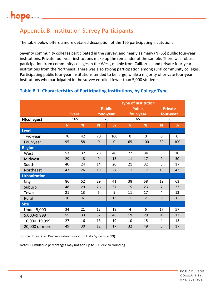

### Appendix B. Institution Survey Participants

The table below offers a more detailed description of the 165 participating institutions.

Seventy community colleges participated in the survey, and nearly as many (N=65) public four-year institutions. Private four-year institutions make up the remainder of the sample. There was robust participation from community colleges in the West, mainly from California, and private four-year institutions from the Northeast. There was also strong participation among rural community colleges. Participating public four-year institutions tended to be large, while a majority of private four-year institutions who participated in the survey enrolled fewer than 5,000 students.

### **Table B-1. Characteristics of Participating Institutions, by College Type**

|                     |    |                |             |               |              | <b>Type of Institution</b> |                |                |
|---------------------|----|----------------|-------------|---------------|--------------|----------------------------|----------------|----------------|
|                     |    |                |             | <b>Public</b> |              | <b>Public</b>              |                | <b>Private</b> |
|                     |    | <b>Overall</b> | two-year    |               |              | four-year                  | four-year      |                |
| N(colleges)         |    | 165            |             | 70            |              | 65                         |                | 30             |
|                     | N  | %              | N           | %             | N            | %                          | N              | %              |
| Level               |    |                |             |               |              |                            |                |                |
| Two-year            | 70 | 42             | 70          | 100           | $\mathbf 0$  | 0                          | 0              | 0              |
| Four-year           | 95 | 58             | $\mathbf 0$ | $\mathbf 0$   | 65           | 100                        | 30             | 100            |
| <b>Region</b>       |    |                |             |               |              |                            |                |                |
| West                | 53 | 32             | 28          | 40            | 22           | 34                         | 3              | 10             |
| Midwest             | 29 | 18             | 9           | 13            | 11           | 17                         | 9              | 30             |
| South               | 40 | 24             | 14          | 20            | 21           | 32                         | 5              | 17             |
| Northeast           | 43 | 26             | 19          | 27            | 11           | 17                         | 13             | 43             |
| <b>Urbanization</b> |    |                |             |               |              |                            |                |                |
| City                | 86 | 52             | 29          | 41            | 38           | 58                         | 19             | 63             |
| Suburb              | 48 | 29             | 26          | 37            | 15           | 23                         | $\overline{7}$ | 23             |
| Town                | 21 | 13             | 6           | 9             | 11           | 17                         | 4              | 13             |
| Rural               | 10 | 6              | 9           | 13            | $\mathbf{1}$ | $\overline{2}$             | $\mathbf 0$    | $\mathbf 0$    |
| <b>Size</b>         |    |                |             |               |              |                            |                |                |
| <b>Under 5,000</b>  | 34 | 21             | 13          | 19            | 4            | 6                          | 17             | 57             |
| 5,000-9,999         | 55 | 33             | 32          | 46            | 19           | 29                         | $\overline{4}$ | 13             |
| 10,000-19,999       | 27 | 16             | 13          | 19            | 10           | 15                         | 4              | 13             |
| 20,000 or more      | 49 | 30             | 12          | 17            | 32           | 49                         | 5              | 17             |

Source: Integrated Postsecondary Education Data System (2019)

Notes: Cumulative percentages may not add up to 100 due to rounding.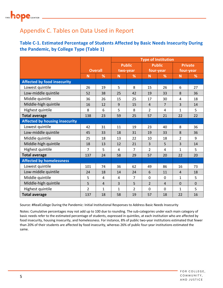# THE **hope** CENTER

### Appendix C. Tables on Data Used in Report

### **Table C-1. Estimated Percentage of Students Affected by Basic Needs Insecurity During the Pandemic, by College Type (Table 1)**

|                                       |                |                |                |                |                | <b>Type of Institution</b> |                |                |  |
|---------------------------------------|----------------|----------------|----------------|----------------|----------------|----------------------------|----------------|----------------|--|
|                                       |                |                |                | <b>Public</b>  |                | <b>Public</b>              |                | <b>Private</b> |  |
|                                       |                | <b>Overall</b> |                | two-year       |                | four-year                  |                | four-year      |  |
|                                       | N              | %              | N              | %              | N              | %                          | N              | %              |  |
| <b>Affected by food insecurity</b>    |                |                |                |                |                |                            |                |                |  |
| Lowest quintile                       | 26             | 19             | 5              | 8              | 15             | 26                         | 6              | 27             |  |
| Low-middle quintile                   | 52             | 38             | 25             | 42             | 19             | 33                         | 8              | 36             |  |
| Middle quintile                       | 36             | 26             | 15             | 25             | 17             | 30                         | $\overline{4}$ | 18             |  |
| Middle-high quintile                  | 16             | 12             | $\mathsf 9$    | 15             | $\overline{4}$ | $\overline{7}$             | $\overline{3}$ | 14             |  |
| Highest quintile                      | 8              | 6              | 5              | 8              | $\overline{2}$ | $\overline{4}$             | $\mathbf{1}$   | 5              |  |
| <b>Total average</b>                  | 138            | 23             | 59             | 25             | 57             | 21                         | 22             | 22             |  |
| <b>Affected by housing insecurity</b> |                |                |                |                |                |                            |                |                |  |
| Lowest quintile                       | 42             | 31             | 11             | 19             | 23             | 40                         | 8              | 36             |  |
| Low-middle quintile                   | 45             | 33             | 18             | 31             | 19             | 33                         | 8              | 36             |  |
| Middle quintile                       | 25             | 18             | 13             | 22             | 10             | 18                         | $\overline{2}$ | 9              |  |
| Middle-high quintile                  | 18             | 13             | 12             | 21             | 3              | 5                          | 3              | 14             |  |
| Highest quintile                      | $\overline{7}$ | 5              | $\overline{4}$ | $\overline{7}$ | $\overline{2}$ | $\overline{4}$             | $\mathbf{1}$   | 5              |  |
| <b>Total average</b>                  | 137            | 24             | 58             | 29             | 57             | 20                         | 22             | 20             |  |
| <b>Affected by homelessness</b>       |                |                |                |                |                |                            |                |                |  |
| Lowest quintile                       | 101            | 74             | 36             | 62             | 49             | 86                         | 16             | 73             |  |
| Low-middle quintile                   | 24             | 18             | 14             | 24             | 6              | 11                         | $\overline{4}$ | 18             |  |
| Middle quintile                       | 5              | 4              | 4              | $\overline{7}$ | 0              | 0                          | $\mathbf{1}$   | 5              |  |
| Middle-high quintile                  | 5              | $\overline{4}$ | 3              | 5              | $\overline{2}$ | $\overline{4}$             | $\overline{0}$ | $\overline{0}$ |  |
| Highest quintile                      | $\overline{2}$ | 1              | $\mathbf{1}$   | $\overline{2}$ | $\overline{0}$ | $\mathbf 0$                | $\mathbf{1}$   | 5              |  |
| <b>Total average</b>                  | 137            | 18             | 58             | 19             | 57             | 18                         | 22             | 16             |  |

Source: #RealCollege During the Pandemic: Initial Institutional Responses to Address Basic Needs Insecurity

Notes: Cumulative percentages may not add up to 100 due to rounding. The sub-categories under each main category of basic needs refer to the estimated percentage of students, expressed in quintiles, at each institution who are affected by food insecurity, housing insecurity, and homelessness. For instance, 8% of public two-year institutions estimated that fewer than 20% of their students are affected by food insecurity, whereas 26% of public four-year institutions estimated the same.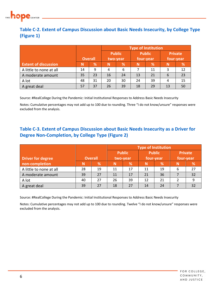

### **Table C-2. Extent of Campus Discussion about Basic Needs Insecurity, by College Type (Figure 1)**

|                             |                |    | <b>Type of Institution</b> |               |           |               |                |    |  |  |
|-----------------------------|----------------|----|----------------------------|---------------|-----------|---------------|----------------|----|--|--|
|                             |                |    |                            | <b>Public</b> |           | <b>Public</b> | <b>Private</b> |    |  |  |
|                             | <b>Overall</b> |    | two-year                   |               | four-year |               | four-year      |    |  |  |
| <b>Extent of discussion</b> | N              | %  | N                          | %             | N         | %             | N              | %  |  |  |
| A little to none at all     | 14             | 9  | 4                          | 6             |           | 11            | 3              | 12 |  |  |
| A moderate amount           | 35             | 23 | 16                         | 24            | 13        | 21            | 6              | 23 |  |  |
| A lot                       | 48             | 31 | 20                         | 30            | 24        | 39            | 4              | 15 |  |  |
| A great deal                | 57             | 37 | 26                         | 39            | 18        | 29            | 13             | 50 |  |  |

Source: #RealCollege During the Pandemic: Initial Institutional Responses to Address Basic Needs Insecurity

Notes: Cumulative percentages may not add up to 100 due to rounding. Three "I do not know/unsure" responses were excluded from the analysis.

### **Table C-3. Extent of Campus Discussion about Basic Needs Insecurity as a Driver for Degree Non-Completion, by College Type (Figure 2)**

|                          |    |                | <b>Type of Institution</b> |    |                            |    |           |                |  |  |
|--------------------------|----|----------------|----------------------------|----|----------------------------|----|-----------|----------------|--|--|
| <b>Driver for degree</b> |    | <b>Overall</b> | <b>Public</b><br>two-year  |    | <b>Public</b><br>four-year |    | four-year | <b>Private</b> |  |  |
| non-completion           | N  | %              | N                          | %  | N                          | %  | N         | %              |  |  |
| A little to none at all  | 28 | 19             | 11                         | 17 | 11                         | 19 | 6         | 27             |  |  |
| A moderate amount        | 39 | 27             | 11                         | 17 | 21                         | 36 |           | 32             |  |  |
| A lot                    | 40 | 27             | 26                         | 39 | 12                         | 21 |           | 9              |  |  |
| A great deal             | 39 | 27             | 18                         | 27 | 14                         | 24 |           | 32             |  |  |

Source: #RealCollege During the Pandemic: Initial Institutional Responses to Address Basic Needs Insecurity

Notes: Cumulative percentages may not add up to 100 due to rounding. Twelve "I do not know/unsure" responses were excluded from the analysis.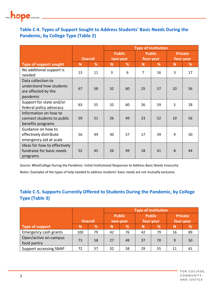

### **Table C**-**4. Types of Support Sought to Address Students' Basic Needs During the Pandemic, by College Type (Table 2)**

|                                                                                  |    |                | <b>Type of Institution</b> |               |                |               |                |    |  |
|----------------------------------------------------------------------------------|----|----------------|----------------------------|---------------|----------------|---------------|----------------|----|--|
|                                                                                  |    |                |                            | <b>Public</b> |                | <b>Public</b> | <b>Private</b> |    |  |
|                                                                                  |    | <b>Overall</b> | two-year                   |               | four-year      |               | four-year      |    |  |
| Type of support sought                                                           | N  | %              | N                          | %             | N              | %             | N              | %  |  |
| No additional support is<br>needed                                               | 13 | 11             | 3                          | 6             | $\overline{7}$ | 16            | 3              | 17 |  |
| Data collection to<br>understand how students<br>are affected by the<br>pandemic | 67 | 58             | 32                         | 60            | 25             | 57            | 10             | 56 |  |
| Support for state and/or<br>federal policy advocacy                              | 63 | 55             | 32                         | 60            | 26             | 59            | 5              | 28 |  |
| Information on how to<br>connect students to public<br>benefits programs         | 59 | 51             | 26                         | 49            | 23             | 52            | 10             | 56 |  |
| Guidance on how to<br>effectively distribute<br>emergency aid at scale           | 56 | 49             | 30                         | 57            | 17             | 39            | 9              | 50 |  |
| Ideas for how to effectively<br>fundraise for basic needs<br>programs            | 52 | 45             | 26                         | 49            | 18             | 41            | 8              | 44 |  |

Source: #RealCollege During the Pandemic: Initial Institutional Responses to Address Basic Needs Insecurity

Notes: Examples of the types of help needed to address students' basic needs are not mutually exclusive.

### **Table C-5. Supports Currently Offered to Students During the Pandemic, by College Type (Table 3)**

|                                      |     |                | <b>Type of Institution</b> |                                |    |    |           |                |  |  |
|--------------------------------------|-----|----------------|----------------------------|--------------------------------|----|----|-----------|----------------|--|--|
|                                      |     |                |                            | <b>Public</b><br><b>Public</b> |    |    |           | <b>Private</b> |  |  |
|                                      |     | <b>Overall</b> | four-year<br>two-year      |                                |    |    | four-year |                |  |  |
| Type of support                      | Ν   | %              | N                          | %                              | N  | %  | N         | %              |  |  |
| Emergency cash grants                | 100 | 79             | 42                         | 76                             | 42 | 79 | 16        | 89             |  |  |
| Open/active on-campus<br>food pantry | 73  | 58             | 27                         | 49                             | 37 | 70 | 9         | 50             |  |  |
| <b>Support accessing SNAP</b>        | 72. | 57             | 32                         | 58                             | 29 | 55 | 11        | 61             |  |  |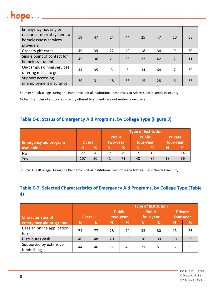

| Emergency housing or<br>resource referral system to<br>homelessness services<br>providers | 59 | 47 | 24 | 44 | 25 | 47 | 10             | 56 |
|-------------------------------------------------------------------------------------------|----|----|----|----|----|----|----------------|----|
| Grocery gift cards                                                                        | 49 | 39 | 22 | 40 | 18 | 34 | 9              | 50 |
| Single point of contact for<br>homeless students                                          | 45 | 36 | 21 | 38 | 22 | 42 | $\overline{2}$ | 11 |
| On-campus dining services<br>offering meals to go                                         | 44 | 35 | 3  | 5  | 34 | 64 | 7              | 39 |
| Support accessing<br>unemployment insurance                                               | 39 | 31 | 18 | 33 | 15 | 28 | 6              | 33 |

Source: #RealCollege During the Pandemic: Initial Institutional Responses to Address Basic Needs Insecurity

Notes: Examples of supports currently offered to students are not mutually exclusive.

### **Table C-6. Status of Emergency Aid Programs, by College Type (Figure 3)**

|                              |                |      | <b>Type of Institution</b> |                                |           |    |           |                |  |  |  |
|------------------------------|----------------|------|----------------------------|--------------------------------|-----------|----|-----------|----------------|--|--|--|
|                              |                |      |                            | <b>Public</b><br><b>Public</b> |           |    |           | <b>Private</b> |  |  |  |
| <b>Emergency aid program</b> | <b>Overall</b> |      |                            | two-year                       | four-year |    | four-year |                |  |  |  |
| available                    | Ν              | $\%$ |                            | %                              |           | %  | N         | %              |  |  |  |
| No                           | 27             | 20   | 17                         | 29                             |           | 13 |           | 14             |  |  |  |
| Yes                          | 107            | 80   | 41                         | 71                             | 48        | 87 | 18        | 86             |  |  |  |

Source: #RealCollege During the Pandemic: Initial Institutional Responses to Address Basic Needs Insecurity

### **Table C-7. Selected Characteristics of Emergency Aid Programs, by College Type (Table 4)**

|                            |                |    | <b>Type of Institution</b> |          |    |               |                |    |  |  |
|----------------------------|----------------|----|----------------------------|----------|----|---------------|----------------|----|--|--|
|                            |                |    | <b>Public</b>              |          |    | <b>Public</b> | <b>Private</b> |    |  |  |
| <b>Characteristics of</b>  | <b>Overall</b> |    |                            | two-year |    | four-year     | four-year      |    |  |  |
| emergency aid programs     | N              | %  | N                          | %        | N  | %             | N              | %  |  |  |
| Uses an online application | 74             | 77 | 28                         | 74       | 33 | 80            | 13             | 76 |  |  |
| form                       |                |    |                            |          |    |               |                |    |  |  |
| Distributes cash           | 46             | 48 | 20                         | 53       | 16 | 39            | 10             | 59 |  |  |
| Supported by extensive     | 44             | 46 | 17                         | 45       | 21 | 51            | 6              | 35 |  |  |
| fundraising                |                |    |                            |          |    |               |                |    |  |  |